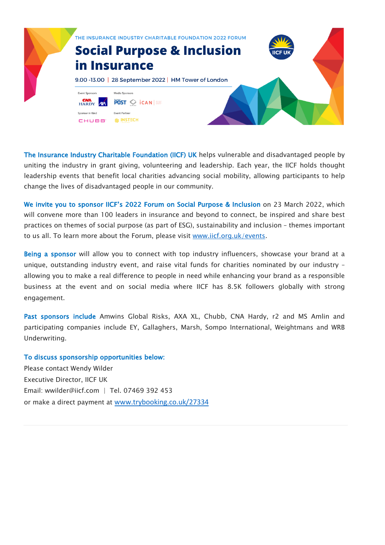

The Insurance Industry Charitable Foundation (IICF) UK helps vulnerable and disadvantaged people by uniting the industry in grant giving, volunteering and leadership. Each year, the IICF holds thought leadership events that benefit local charities advancing social mobility, allowing participants to help change the lives of disadvantaged people in our community.

We invite you to sponsor IICF's 2022 Forum on Social Purpose & Inclusion on 23 March 2022, which will convene more than 100 leaders in insurance and beyond to connect, be inspired and share best practices on themes of social purpose (as part of ESG), sustainability and inclusion – themes important to us all. To learn more about the Forum, please visit www.iicf.org.uk/events.

Being a sponsor will allow you to connect with top industry influencers, showcase your brand at a unique, outstanding industry event, and raise vital funds for charities nominated by our industry – allowing you to make a real difference to people in need while enhancing your brand as a responsible business at the event and on social media where IICF has 8.5K followers globally with strong engagement.

Past sponsors include Amwins Global Risks, AXA XL, Chubb, CNA Hardy, r2 and MS Amlin and participating companies include EY, Gallaghers, Marsh, Sompo International, Weightmans and WRB Underwriting.

## To discuss sponsorship opportunities below:

Please contact Wendy Wilder Executive Director, IICF UK Email: wwilder@iicf.com | Tel. 07469 392 453 or make a direct payment at www.trybooking.co.uk/27334